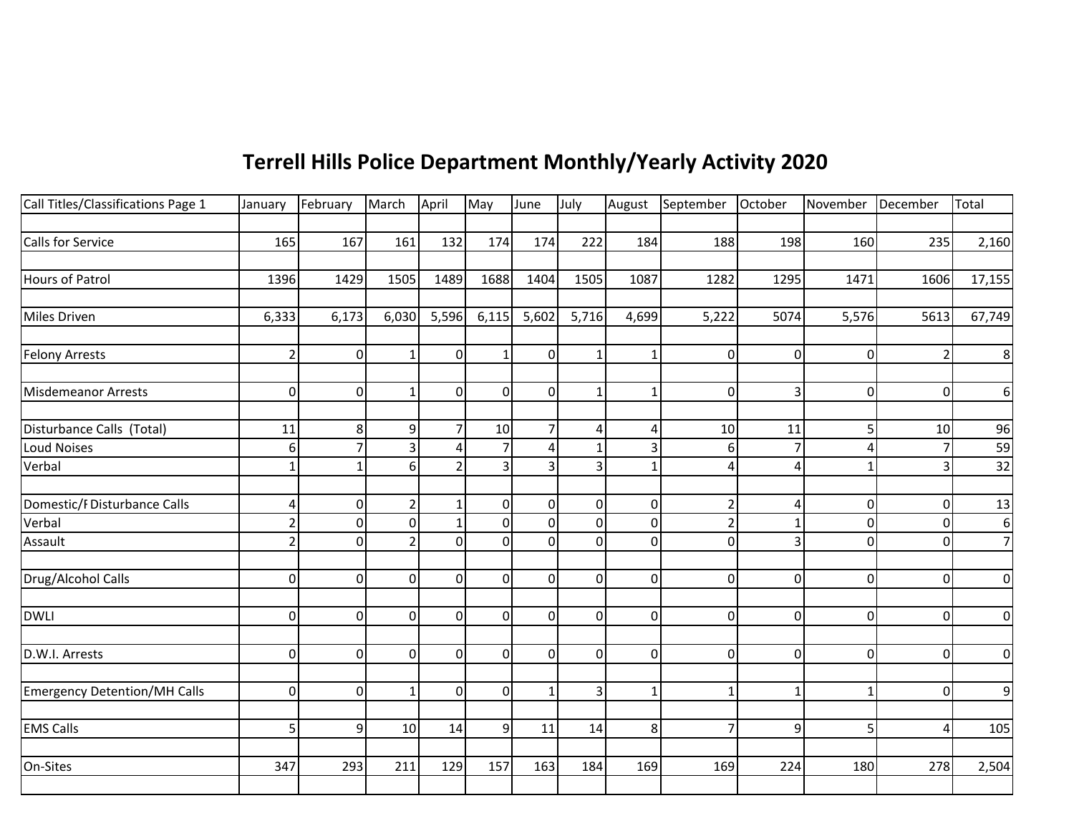## **Terrell Hills Police Department Monthly/Yearly Activity 2020**

| Call Titles/Classifications Page 1  | January        | February       | March          | April          | May            | June         | July           |                | August September October |             | November December |             | Total            |
|-------------------------------------|----------------|----------------|----------------|----------------|----------------|--------------|----------------|----------------|--------------------------|-------------|-------------------|-------------|------------------|
|                                     |                |                |                |                |                |              |                |                |                          |             |                   |             |                  |
| Calls for Service                   | 165            | 167            | 161            | 132            | 174            | 174          | 222            | 184            | 188                      | 198         | 160               | 235         | 2,160            |
|                                     |                |                |                |                |                |              |                |                |                          |             |                   |             |                  |
| Hours of Patrol                     | 1396           | 1429           | 1505           | 1489           | 1688           | 1404         | 1505           | 1087           | 1282                     | 1295        | 1471              | 1606        | 17,155           |
|                                     |                |                |                |                |                |              |                |                |                          |             |                   |             |                  |
| Miles Driven                        | 6,333          | 6,173          | 6,030          | 5,596          | 6,115          | 5,602        | 5,716          | 4,699          | 5,222                    | 5074        | 5,576             | 5613        | 67,749           |
|                                     |                |                |                |                |                |              |                |                |                          |             |                   |             |                  |
| <b>Felony Arrests</b>               | $\overline{a}$ | $\overline{0}$ | $\mathbf{1}$   | $\Omega$       | $\mathbf{1}$   | $\Omega$     |                | $\mathbf 1$    | $\overline{0}$           | $\mathbf 0$ | $\Omega$          |             | 8                |
|                                     |                |                |                |                |                |              |                |                |                          |             |                   |             |                  |
| Misdemeanor Arrests                 | $\overline{0}$ | $\overline{0}$ | 1 <sup>1</sup> | $\Omega$       | $\overline{0}$ | 0            |                | $\mathbf{1}$   | $\mathbf 0$              | 3           | 0                 | 0           | 6                |
|                                     |                |                |                |                |                |              |                |                |                          |             |                   |             |                  |
| Disturbance Calls (Total)           | 11             | 8 <sup>1</sup> | 9              | $\overline{7}$ | 10             |              | 4              | 4              | 10                       | 11          |                   | 10          | 96               |
| <b>Loud Noises</b>                  | 61             |                |                |                |                |              |                | 3              | 6                        |             |                   |             | 59               |
| Verbal                              | $\mathbf{1}$   |                | 6 <sup>1</sup> |                | $\overline{3}$ |              |                | $\mathbf{1}$   |                          | 4           |                   |             | 32               |
|                                     |                |                |                |                |                |              |                |                |                          |             |                   |             |                  |
| Domestic/F Disturbance Calls        | $\overline{4}$ | $\overline{0}$ | $\overline{2}$ | 1              | $\Omega$       | $\mathbf{0}$ | $\Omega$       | $\overline{0}$ | $\overline{2}$           | 4           | 0                 | $\Omega$    | 13               |
| Verbal                              | $\overline{2}$ | $\overline{0}$ | $\Omega$       |                | $\overline{0}$ | $\Omega$     | 0              | $\Omega$       | $\overline{2}$           |             | ŋ                 | $\Omega$    | $\boldsymbol{6}$ |
| Assault                             | $\overline{2}$ | $\Omega$       | $\mathfrak{p}$ | $\Omega$       | $\overline{0}$ | $\Omega$     | $\Omega$       | $\mathbf 0$    | $\mathbf 0$              | 3           | $\Omega$          | $\mathbf 0$ | 7                |
|                                     |                |                |                |                |                |              |                |                |                          |             |                   |             |                  |
| Drug/Alcohol Calls                  | <sub>0</sub>   | $\overline{0}$ | $\overline{0}$ | $\Omega$       | $\overline{0}$ | $\Omega$     | $\Omega$       | $\overline{0}$ | $\Omega$                 | $\Omega$    | $\Omega$          | $\Omega$    | $\overline{0}$   |
|                                     |                |                |                |                |                |              |                |                |                          |             |                   |             |                  |
| <b>DWLI</b>                         | <sub>0</sub>   | $\overline{0}$ | $\overline{0}$ | $\Omega$       | $\Omega$       | 0            | $\Omega$       | $\overline{0}$ | $\Omega$                 | $\mathbf 0$ | 0                 | $\Omega$    | $\circ$          |
|                                     |                |                |                |                |                |              |                |                |                          |             |                   |             |                  |
| D.W.I. Arrests                      | $\overline{0}$ | $\overline{0}$ | $\overline{0}$ | $\Omega$       | $\overline{0}$ | $\mathbf 0$  | $\overline{0}$ | $\overline{0}$ | $\mathbf 0$              | $\mathbf 0$ | $\Omega$          | $\mathbf 0$ | $\circ$          |
|                                     |                |                |                |                |                |              |                |                |                          |             |                   |             |                  |
| <b>Emergency Detention/MH Calls</b> | $\overline{0}$ | $\overline{0}$ | $\mathbf{1}$   | $\Omega$       | $\overline{0}$ | $\mathbf{1}$ | 3              | $\mathbf{1}$   |                          |             |                   | $\Omega$    | $\overline{9}$   |
|                                     |                |                |                |                |                |              |                |                |                          |             |                   |             |                  |
| <b>EMS Calls</b>                    | 5 <sub>l</sub> | 9              | 10             | 14             | 9              | 11           | 14             | 8              | 7                        | 9           | 5                 | 4           | 105              |
|                                     |                |                |                |                |                |              |                |                |                          |             |                   |             |                  |
| On-Sites                            | 347            | 293            | 211            | 129            | 157            | 163          | 184            | 169            | 169                      | 224         | 180               | 278         | 2,504            |
|                                     |                |                |                |                |                |              |                |                |                          |             |                   |             |                  |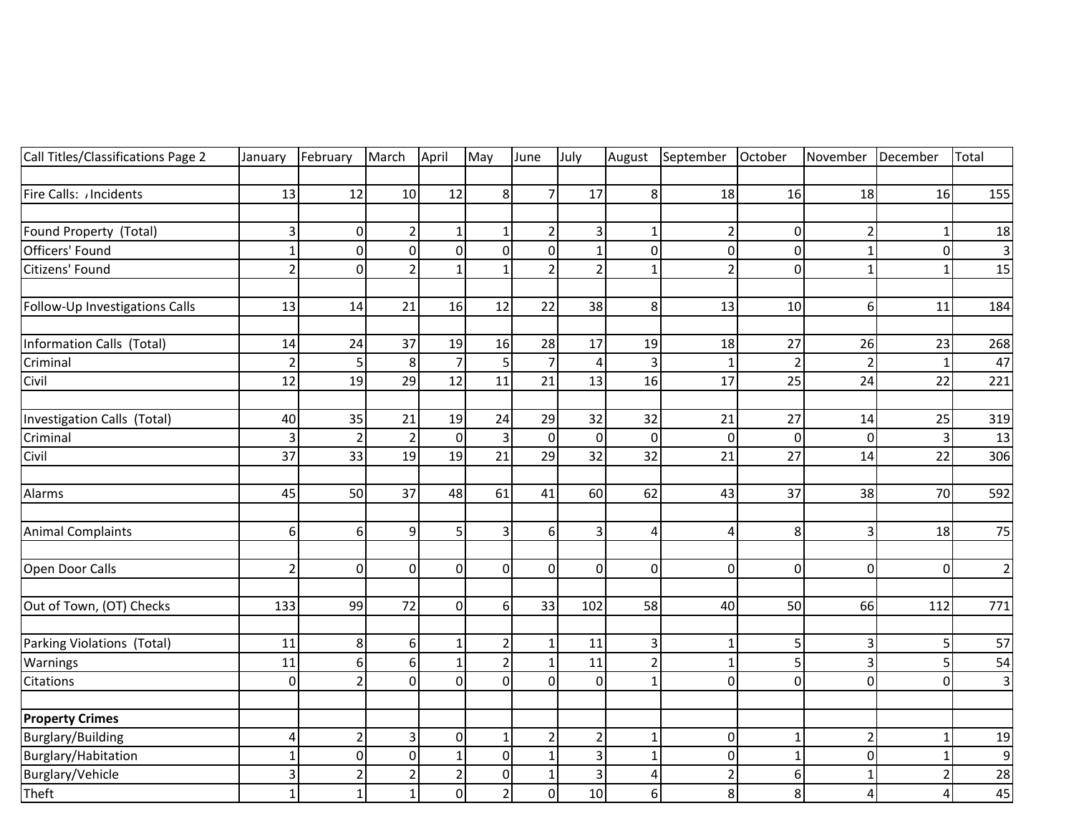| Call Titles/Classifications Page 2 | January        | February        | March          | April          | May            | June                     | July           | August         | September      | October        | November December |                | Total       |
|------------------------------------|----------------|-----------------|----------------|----------------|----------------|--------------------------|----------------|----------------|----------------|----------------|-------------------|----------------|-------------|
|                                    |                |                 |                |                |                |                          |                |                |                |                |                   |                |             |
| Fire Calls: /Incidents             | 13             | 12              | 10             | 12             | 8 <sup>1</sup> | $\overline{7}$           | 17             | 8              | 18             | 16             | 18                | 16             | 155         |
| Found Property (Total)             | 3              | $\Omega$        | $\overline{2}$ | $\mathbf{1}$   | $\mathbf{1}$   |                          | 3              | 1              | $\overline{2}$ | $\overline{0}$ |                   | 1              | 18          |
| Officers' Found                    | $\mathbf{1}$   | $\Omega$        | $\Omega$       | $\Omega$       | $\overline{0}$ | $\Omega$                 |                | 0              | $\overline{0}$ | $\overline{0}$ | 1                 | 0              | 3           |
| Citizens' Found                    | $\mathfrak{p}$ | $\Omega$        | $\overline{2}$ | 1              |                |                          |                | 1              | $\overline{2}$ | $\overline{0}$ | 1                 | 1              | 15          |
| Follow-Up Investigations Calls     | 13             | 14              | 21             | 16             | 12             | 22                       | 38             | 8              | 13             | 10             | 6                 | 11             | 184         |
|                                    |                |                 |                |                |                |                          |                |                |                |                |                   |                |             |
| Information Calls (Total)          | 14             | 24              | 37             | 19             | 16             | 28                       | 17             | 19             | 18             | 27             | 26                | 23             | 268         |
| Criminal                           | $\overline{2}$ | 5               | 8 <sup>1</sup> | $\overline{7}$ | $\overline{5}$ |                          | 4              | 3              | $\mathbf{1}$   | $\overline{2}$ |                   | $\mathbf{1}$   | 47          |
| Civil                              | 12             | 19              | 29             | 12             | 11             | 21                       | 13             | 16             | 17             | 25             | 24                | 22             | 221         |
| Investigation Calls (Total)        | 40             | 35              | 21             | 19             | 24             | 29                       | 32             | 32             | 21             | 27             | 14                | 25             | 319         |
| Criminal                           | 3              | $\overline{2}$  | $\overline{2}$ | $\overline{0}$ | $\overline{3}$ | $\Omega$                 | $\Omega$       | $\mathbf 0$    | $\mathbf 0$    | $\overline{0}$ | $\mathbf{0}$      | 3              | 13          |
| Civil                              | 37             | 33              | 19             | 19             | 21             | 29                       | 32             | 32             | 21             | 27             | 14                | 22             | 306         |
| Alarms                             | 45             | 50              | 37             | 48             | 61             | 41                       | 60             | 62             | 43             | 37             | 38                | 70             | 592         |
| <b>Animal Complaints</b>           | $6 \mid$       | 6 <sup>1</sup>  | 9              | $\overline{5}$ | $\overline{3}$ | 6                        | 3              | 4              | 4              | 8              | 3                 | 18             | 75          |
|                                    |                |                 |                |                |                |                          |                |                |                |                |                   |                |             |
| Open Door Calls                    | 2              | $\Omega$        | $\overline{0}$ | $\Omega$       | $\Omega$       | $\mathbf{0}$             | $\Omega$       | 0              | $\overline{0}$ | $\overline{0}$ | $\Omega$          | $\mathbf 0$    | $\mathbf 2$ |
| Out of Town, (OT) Checks           | 133            | 99              | 72             | $\Omega$       | $6 \mid$       | 33                       | 102            | 58             | 40             | 50             | 66                | 112            | 771         |
| Parking Violations (Total)         | 11             | 8 <sup>1</sup>  | $6 \mid$       | $1\vert$       | $\overline{2}$ |                          | 11             | 3              | $1\vert$       | $\overline{5}$ | 3                 | 5              | 57          |
| Warnings                           | 11             | 6 <sup>1</sup>  | $6 \mid$       | $\mathbf{1}$   | $\overline{2}$ | 1                        | 11             | $\overline{2}$ | $\mathbf{1}$   | 5              | 3                 | 5              | 54          |
| Citations                          | $\Omega$       | $\overline{2}$  | $\Omega$       | $\Omega$       | $\Omega$       | $\Omega$                 | $\Omega$       | $\mathbf{1}$   | $\overline{0}$ | $\overline{0}$ | $\Omega$          | 0              | 3           |
| <b>Property Crimes</b>             |                |                 |                |                |                |                          |                |                |                |                |                   |                |             |
| Burglary/Building                  | 4              | $\overline{2}$  | 3 <sup>1</sup> | $\overline{0}$ | $\mathbf{1}$   | $\overline{\phantom{a}}$ | $\overline{2}$ | $\mathbf 1$    | $\overline{0}$ | $\mathbf{1}$   | 2                 | $\overline{1}$ | 19          |
| Burglary/Habitation                | $\mathbf{1}$   | $\overline{0}$  | $\overline{0}$ | 1              | $\overline{0}$ |                          | 3              | $\mathbf{1}$   | $\overline{0}$ | $\mathbf{1}$   | $\overline{0}$    | 1              | 9           |
| Burglary/Vehicle                   | 3              | $\overline{2}$  | $\overline{2}$ | $\overline{2}$ | $\overline{0}$ | 1                        | 3              | 4              | $\overline{2}$ | 6 <sup>1</sup> | 1                 | $\overline{2}$ | 28          |
| Theft                              | 1              | $1\overline{ }$ | $\mathbf{1}$   | $\overline{0}$ | $\overline{2}$ | 0                        | 10             | 6              | 8 <sup>1</sup> | 8              | 4                 | 4              | 45          |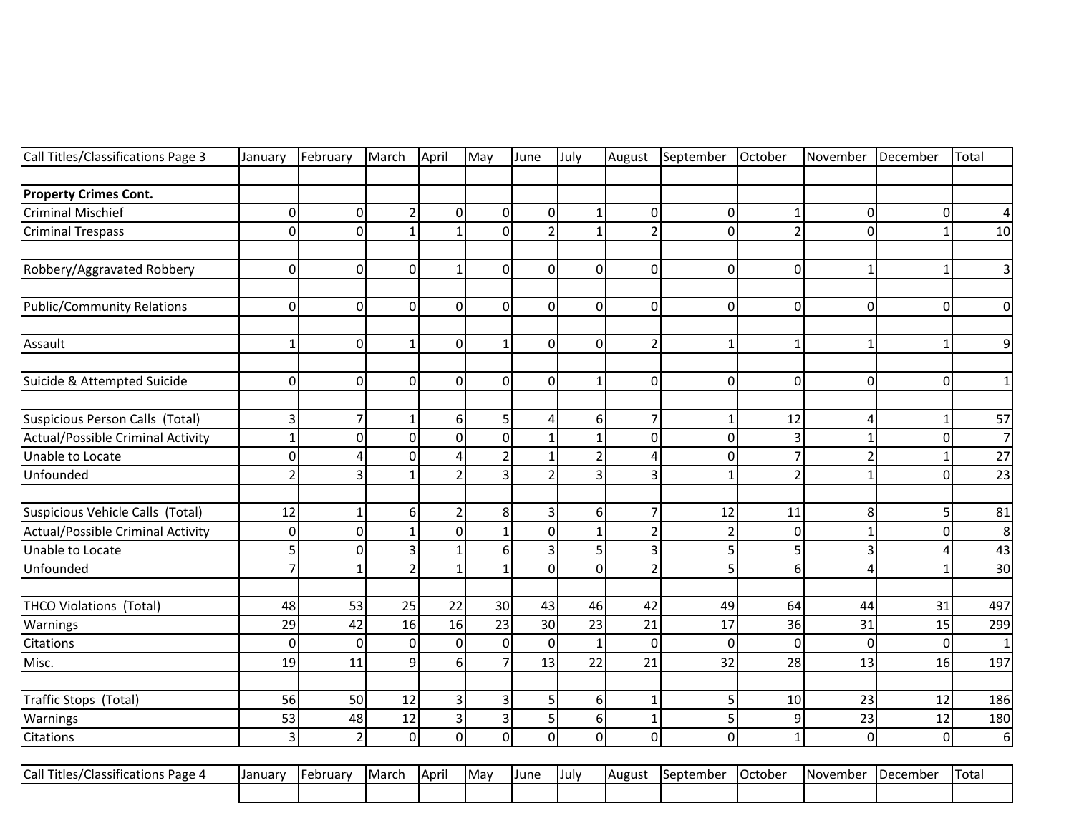| Call Titles/Classifications Page 3       | January        | February       | March          | April          | May            | June           | July           | August         | September      | October         | November       | December       | Total          |
|------------------------------------------|----------------|----------------|----------------|----------------|----------------|----------------|----------------|----------------|----------------|-----------------|----------------|----------------|----------------|
|                                          |                |                |                |                |                |                |                |                |                |                 |                |                |                |
| <b>Property Crimes Cont.</b>             |                |                |                |                |                |                |                |                |                |                 |                |                |                |
| <b>Criminal Mischief</b>                 | 0              | $\mathbf 0$    | $\overline{2}$ | 0              | $\pmb{0}$      | 0              | 1              | 0              | 0              | $\mathbf{1}$    | 0              | 0              |                |
| <b>Criminal Trespass</b>                 | 0              | $\mathbf 0$    | $\mathbf{1}$   | 1              | 0              | $\overline{2}$ | $\mathbf{1}$   | $\overline{2}$ | 0              | $\overline{2}$  | 0              | $\mathbf{1}$   | 10             |
|                                          |                |                |                |                |                |                |                |                |                |                 |                |                |                |
| Robbery/Aggravated Robbery               | 0              | $\Omega$       | 0              | 1              | 0              | $\mathbf{0}$   | 0              | $\mathbf 0$    | $\Omega$       | $\Omega$        | 1              | 1              | 3              |
| Public/Community Relations               | 0              | 0              | 0              | 0              | 0              | $\overline{0}$ | 0              | $\mathbf 0$    | $\Omega$       | $\overline{0}$  | 0              | 0              | $\overline{0}$ |
| Assault                                  | $\mathbf{1}$   | $\mathbf 0$    | $\mathbf{1}$   | 0              | $\mathbf{1}$   | $\Omega$       | 0              | $\overline{2}$ | $\mathbf{1}$   | $1\overline{ }$ | 1              | $\mathbf{1}$   | 9              |
| Suicide & Attempted Suicide              | 0              | 0              | 0              | 0              | 0              | $\Omega$       | $\mathbf{1}$   | $\mathbf 0$    | $\overline{0}$ | $\overline{0}$  | 0              | 0              | 1              |
| Suspicious Person Calls (Total)          | 3              | $\overline{7}$ | 1              | 6              | 5              | 4              | 6              | $\overline{7}$ |                | 12              | 4              | 1              | 57             |
| Actual/Possible Criminal Activity        | $\mathbf{1}$   | $\mathbf 0$    | 0              | 0              | $\mathbf 0$    |                | $\mathbf{1}$   | 0              | 0              | 3               | 1              | 0              | $\overline{7}$ |
| Unable to Locate                         | 0              | 4              | $\mathbf 0$    | $\overline{4}$ | $\overline{2}$ | $\mathbf{1}$   | $\overline{2}$ | 4              | 0              | $\overline{7}$  | $\overline{2}$ | $\mathbf{1}$   | 27             |
| Unfounded                                | $\overline{2}$ | 3              | $\mathbf{1}$   | $\overline{2}$ | 3              | $\overline{2}$ | 3              | 3              | $\mathbf{1}$   | $\overline{2}$  | 1              | 0              | 23             |
| Suspicious Vehicle Calls (Total)         | 12             | 1              | 6              | 2              | 8              | 3              | 6              | 7              | 12             | 11              | 8              | 5              | 81             |
| <b>Actual/Possible Criminal Activity</b> | 0              | $\mathbf 0$    | 1              | 0              | $\mathbf{1}$   | $\mathbf 0$    | 1              | $\overline{2}$ | $\overline{2}$ | $\overline{0}$  | 1              | 0              | 8              |
| Unable to Locate                         | 5              | $\mathbf 0$    | 3              | $\overline{1}$ | 6              | 3              | 5              | 3              | 5              | 5               | 3              | 4              | 43             |
| Unfounded                                | $\overline{7}$ | 1              | $\overline{2}$ | $\mathbf{1}$   | $\mathbf 1$    | $\overline{0}$ | 0              | $\overline{2}$ | 5              | $6 \mid$        | 4              | $\mathbf{1}$   | 30             |
| <b>THCO Violations (Total)</b>           | 48             | 53             | 25             | 22             | 30             | 43             | 46             | 42             | 49             | 64              | 44             | 31             | 497            |
| Warnings                                 | 29             | 42             | 16             | 16             | 23             | 30             | 23             | 21             | 17             | 36              | 31             | 15             | 299            |
| Citations                                | $\mathbf 0$    | $\mathbf 0$    | $\mathbf 0$    | 0              | $\mathbf 0$    | 0              | $\mathbf{1}$   | $\mathbf 0$    | 0              | $\overline{0}$  | $\Omega$       | $\mathbf 0$    | 1              |
| Misc.                                    | 19             | 11             | 9              | 6              | $\overline{7}$ | 13             | 22             | 21             | 32             | 28              | 13             | 16             | 197            |
| Traffic Stops (Total)                    | 56             | 50             | 12             | 3              | 3              | 5              | 6              | $\mathbf{1}$   | 5              | 10              | 23             | 12             | 186            |
| Warnings                                 | 53             | 48             | 12             | 3              | 3              | 5              | 6              | $\mathbf{1}$   | 5              | 9               | 23             | 12             | 180            |
| Citations                                | $\overline{3}$ | $\overline{2}$ | $\mathbf 0$    | $\mathbf 0$    | $\mathbf 0$    | $\overline{0}$ | $\mathbf 0$    | $\overline{0}$ | $\overline{0}$ | $1\overline{ }$ | $\overline{0}$ | $\overline{0}$ | 6              |
| Call Titles/Classifications Page 4       | January        | February       | March          | April          | May            | June           | July           | August         | September      | October         | November       | December       | Total          |
|                                          |                |                |                |                |                |                |                |                |                |                 |                |                |                |